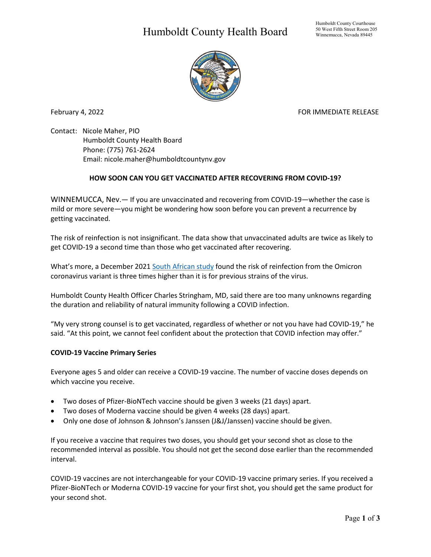## Humboldt County Health Board



February 4, 2022 **FOR IMMEDIATE RELEASE** 

Contact: Nicole Maher, PIO Humboldt County Health Board Phone: (775) 761-2624 Email: nicole.maher@humboldtcountynv.gov

## **HOW SOON CAN YOU GET VACCINATED AFTER RECOVERING FROM COVID-19?**

WINNEMUCCA, Nev.— If you are unvaccinated and recovering from COVID-19—whether the case is mild or more severe—you might be wondering how soon before you can prevent a recurrence by getting vaccinated.

The risk of reinfection is not insignificant. The data show that unvaccinated adults are twice as likely to get COVID-19 a second time than those who get vaccinated after recovering.

What's more, a December 202[1 South African study](https://www.medrxiv.org/content/10.1101/2021.11.11.21266068v2) found the risk of reinfection from the Omicron coronavirus variant is three times higher than it is for previous strains of the virus.

Humboldt County Health Officer Charles Stringham, MD, said there are too many unknowns regarding the duration and reliability of natural immunity following a COVID infection.

"My very strong counsel is to get vaccinated, regardless of whether or not you have had COVID-19," he said. "At this point, we cannot feel confident about the protection that COVID infection may offer."

## **COVID-19 Vaccine Primary Series**

Everyone ages 5 and older can receive a COVID-19 vaccine. The number of vaccine doses depends on which vaccine you receive.

- Two doses of Pfizer-BioNTech vaccine should be given 3 weeks (21 days) apart.
- Two doses of Moderna vaccine should be given 4 weeks (28 days) apart.
- Only one dose of Johnson & Johnson's Janssen (J&J/Janssen) vaccine should be given.

If you receive a vaccine that requires two doses, you should get your second shot as close to the recommended interval as possible. You should not get the second dose earlier than the recommended interval.

COVID-19 vaccines are not interchangeable for your COVID-19 vaccine primary series. If you received a Pfizer-BioNTech or Moderna COVID-19 vaccine for your first shot, you should get the same product for your second shot.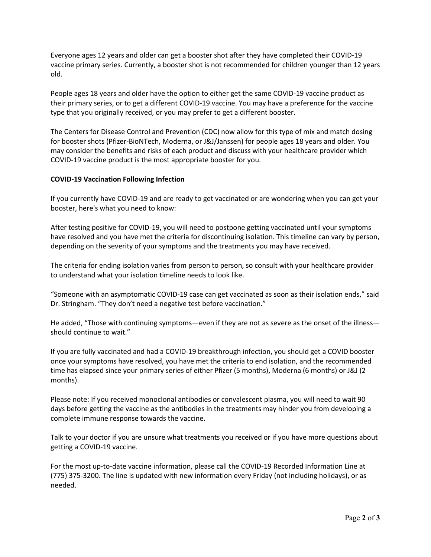Everyone ages 12 years and older can get a booster shot after they have completed their COVID-19 vaccine primary series. Currently, a booster shot is not recommended for children younger than 12 years old.

People ages 18 years and older have the option to either get the same COVID-19 vaccine product as their primary series, or to get a different COVID-19 vaccine. You may have a preference for the vaccine type that you originally received, or you may prefer to get a different booster.

The Centers for Disease Control and Prevention (CDC) now allow for this type of mix and match dosing for booster shots (Pfizer-BioNTech, Moderna, or J&J/Janssen) for people ages 18 years and older. You may consider the benefits and risks of each product and discuss with your healthcare provider which COVID-19 vaccine product is the most appropriate booster for you.

## **COVID-19 Vaccination Following Infection**

If you currently have COVID-19 and are ready to get vaccinated or are wondering when you can get your booster, here's what you need to know:

After testing positive for COVID-19, you will need to postpone getting vaccinated until your symptoms have resolved and you have met the criteria for discontinuing isolation. This timeline can vary by person, depending on the severity of your symptoms and the treatments you may have received.

The criteria for ending isolation varies from person to person, so consult with your healthcare provider to understand what your isolation timeline needs to look like.

"Someone with an asymptomatic COVID-19 case can get vaccinated as soon as their isolation ends," said Dr. Stringham. "They don't need a negative test before vaccination."

He added, "Those with continuing symptoms—even if they are not as severe as the onset of the illness should continue to wait."

If you are fully vaccinated and had a COVID-19 breakthrough infection, you should get a COVID booster once your symptoms have resolved, you have met the criteria to end isolation, and the recommended time has elapsed since your primary series of either Pfizer (5 months), Moderna (6 months) or J&J (2 months).

Please note: If you received monoclonal antibodies or convalescent plasma, you will need to wait 90 days before getting the vaccine as the antibodies in the treatments may hinder you from developing a complete immune response towards the vaccine.

Talk to your doctor if you are unsure what treatments you received or if you have more questions about getting a COVID-19 vaccine.

For the most up-to-date vaccine information, please call the COVID-19 Recorded Information Line at (775) 375-3200. The line is updated with new information every Friday (not including holidays), or as needed.